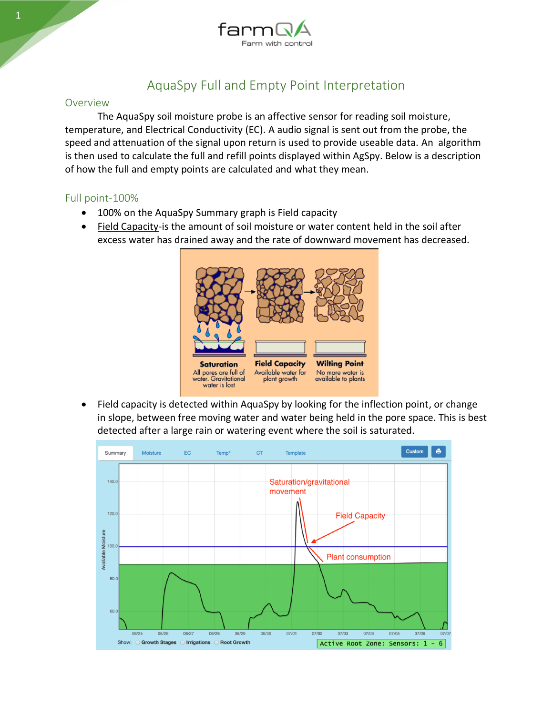

# AquaSpy Full and Empty Point Interpretation

#### Overview

The AquaSpy soil moisture probe is an affective sensor for reading soil moisture, temperature, and Electrical Conductivity (EC). A audio signal is sent out from the probe, the speed and attenuation of the signal upon return is used to provide useable data. An algorithm is then used to calculate the full and refill points displayed within AgSpy. Below is a description of how the full and empty points are calculated and what they mean.

### Full point-100%

- 100% on the AquaSpy Summary graph is Field capacity
- Field Capacity-is the amount of [soil moisture](https://en.wikipedia.org/wiki/Soil_moisture) or [water content](https://en.wikipedia.org/wiki/Water_content) held in the [soil](https://en.wikipedia.org/wiki/Soil) after excess water has drained away and the rate of downward movement has decreased.



• Field capacity is detected within AquaSpy by looking for the inflection point, or change in slope, between free moving water and water being held in the pore space. This is best detected after a large rain or watering event where the soil is saturated.

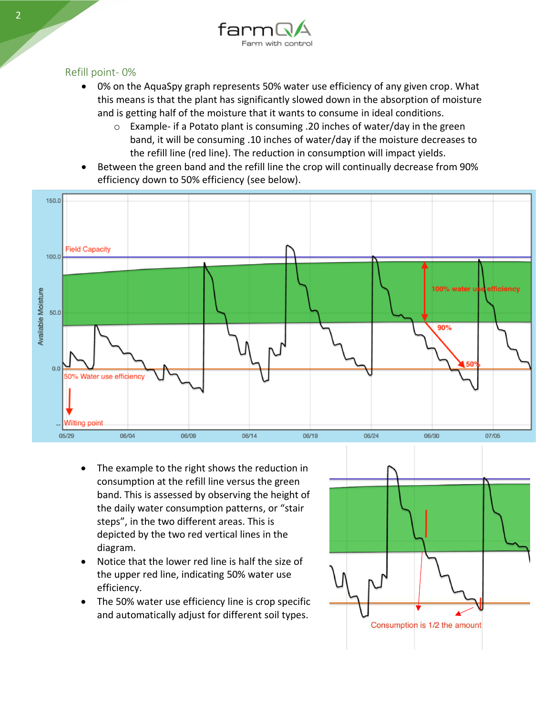

## Refill point- 0%

- 0% on the AquaSpy graph represents 50% water use efficiency of any given crop. What this means is that the plant has significantly slowed down in the absorption of moisture and is getting half of the moisture that it wants to consume in ideal conditions.
	- $\circ$  Example- if a Potato plant is consuming .20 inches of water/day in the green band, it will be consuming .10 inches of water/day if the moisture decreases to the refill line (red line). The reduction in consumption will impact yields.
- Between the green band and the refill line the crop will continually decrease from 90% efficiency down to 50% efficiency (see below).



- The example to the right shows the reduction in consumption at the refill line versus the green band. This is assessed by observing the height of the daily water consumption patterns, or "stair steps", in the two different areas. This is depicted by the two red vertical lines in the diagram.
- Notice that the lower red line is half the size of the upper red line, indicating 50% water use efficiency.
- The 50% water use efficiency line is crop specific and automatically adjust for different soil types.